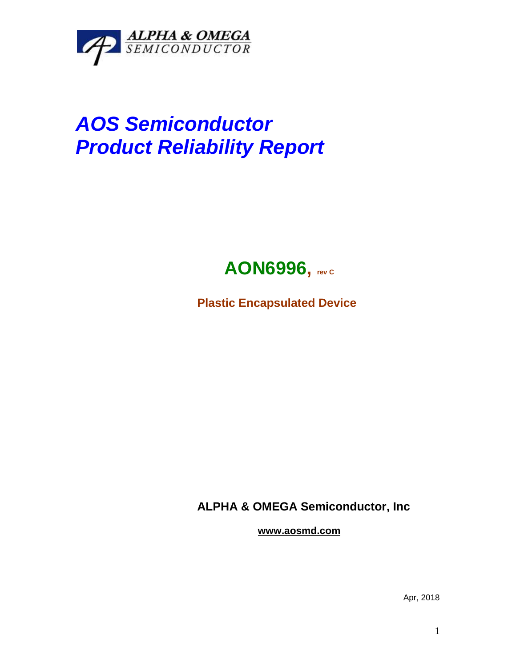

## *AOS Semiconductor Product Reliability Report*



**Plastic Encapsulated Device**

**ALPHA & OMEGA Semiconductor, Inc**

**www.aosmd.com**

Apr, 2018